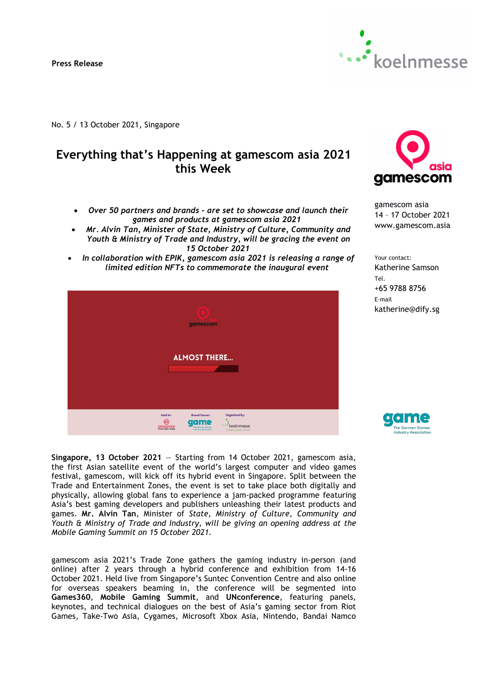

No. 5 / 13 October 2021, Singapore

# **Everything that's Happening at gamescom asia 2021 this Week**

- *Over 50 partners and brands -are set to showcase and launch their games and products at gamescom asia 2021*
- *Mr. Alvin Tan, Minister of State, Ministry of Culture, Community and Youth & Ministry of Trade and Industry, will be gracing the event on 15 October 2021*
- *In collaboration with EPIK, gamescom asia 2021 is releasing a range of limited edition NFTs to commemorate the inaugural event*



asia gamescom

gamescom asia 14 – 17 October 2021 www.gamescom.asia

Your contact: Katherine Samson Tel. +65 9788 8756 E-mail katherine@dify.sg



**Singapore, 13 October 2021** — Starting from 14 October 2021, gamescom asia, the first Asian satellite event of the world's largest computer and video games festival, gamescom, will kick off its hybrid event in Singapore. Split between the Trade and Entertainment Zones, the event is set to take place both digitally and physically, allowing global fans to experience a jam-packed programme featuring Asia's best gaming developers and publishers unleashing their latest products and games. **Mr. Alvin Tan**, Minister of *State, Ministry of Culture, Community and Youth & Ministryof Trade and Industry, will be giving an opening address at the Mobile Gaming Summit on 15 October 2021.*

gamescom asia 2021's Trade Zone gathers the gaming industry in-person (and online) after 2 years through a hybrid conference and exhibition from 14-16 October 2021. Held live from Singapore's Suntec Convention Centre and also online for overseas speakers beaming in, the conference will be segmented into **Games360**, **Mobile Gaming Summit**, and **UNconference**, featuring panels, keynotes, and technical dialogues on the best of Asia's gaming sector from Riot Games, Take-Two Asia, Cygames, Microsoft Xbox Asia, Nintendo, Bandai Namco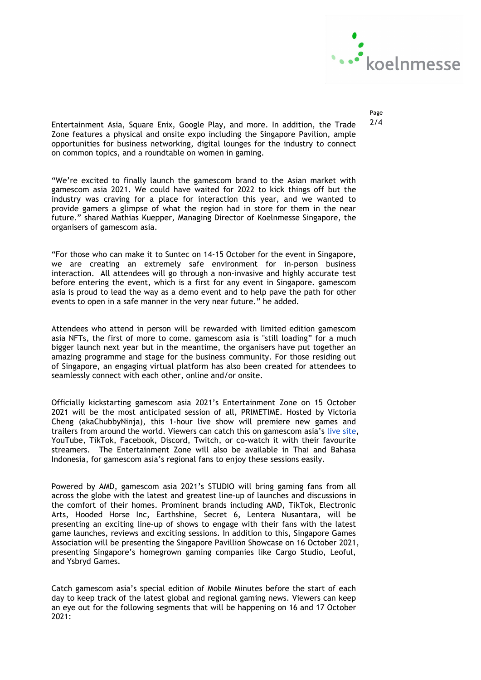

Page

Entertainment Asia, Square Enix, Google Play, and more. In addition, the Trade  $2/4$ Zone features a physical and onsite expo including the Singapore Pavilion, ample opportunities for business networking, digital lounges for the industry to connect on common topics, and a roundtable on women in gaming.

"We're excited to finally launch the gamescom brand to the Asian market with gamescom asia 2021. We could have waited for 2022 to kick things off but the industry was craving for a place for interaction this year, and we wanted to provide gamers a glimpse of what the region had in store for them in the near future." shared Mathias Kuepper, Managing Director of Koelnmesse Singapore, the organisers of gamescom asia.

"For those who can make it to Suntec on 14-15 October for the eventin Singapore, we are creating an extremely safe environment for in-person business interaction. All attendees will go through a non-invasive and highly accurate test before entering the event, which is a first for any event in Singapore. gamescom asia is proud to lead the way as a demo event and to help pave the path for other events to open in a safe manner in the very near future." he added.

Attendees who attend in person will be rewarded with limited edition gamescom asia NFTs, the first of more to come. gamescom asia is "still loading" for a much bigger launch next year but in the meantime, the organisers have put together an amazing programme and stage for the business community. For those residing out of Singapore, an engaging virtual platform has also been created for attendees to seamlessly connect with each other, online and/or onsite.

Officially kickstarting gamescom asia 2021's Entertainment Zone on 15 October 2021 will be the most anticipated session of all, PRIMETIME. Hosted by Victoria Cheng (akaChubbyNinja), this 1-hour live show will premiere new games and trailers from around the world. Viewers can catch this on gamescom asia's live [site,](https://gamescomasia.live/comingsoon.html) YouTube, TikTok, Facebook, Discord, Twitch, or co-watch it with their favourite streamers. The Entertainment Zone will also be available in Thai and Bahasa Indonesia, for gamescom asia's regional fans to enjoy these sessions easily.

Powered by AMD, gamescom asia 2021's STUDIO will bring gaming fans from all across the globe with the latest and greatest line-up of launches and discussions in the comfort of their homes. Prominent brands including AMD, TikTok, Electronic Arts, Hooded Horse Inc, Earthshine, Secret 6, Lentera Nusantara, will be presenting an exciting line-up of shows to engage with their fans with the latest game launches, reviews and exciting sessions. In addition to this, Singapore Games Association will be presenting the Singapore Pavillion Showcase on 16 October 2021, presenting Singapore's homegrown gaming companies like Cargo Studio, Leoful, and Ysbryd Games.

Catch gamescom asia's special edition of Mobile Minutes before the start of each day to keep track of the latest global and regional gaming news. Viewers can keep an eye out for the following segments that will be happening on 16 and 17 October  $2021:$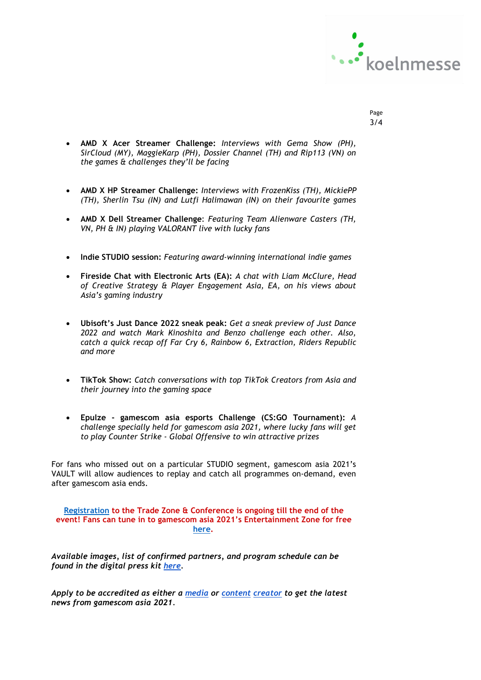

- Page 3/4
- **AMD X Acer Streamer Challenge:** *Interviews with Gema Show (PH), SirCloud (MY), MaggieKarp (PH), Dossier Channel (TH) and Rip113 (VN) on the games & challenges they'll be facing*
- **AMD X HP Streamer Challenge:** *Interviews with FrozenKiss (TH), MickiePP (TH), Sherlin Tsu (IN) and Lutfi Halimawan (IN) on their favourite games*
- **AMD X Dell Streamer Challenge**: *Featuring Team Alienware Casters (TH, VN, PH & IN) playing VALORANT live with lucky fans*
- **Indie STUDIO session:** *Featuring award-winning international indie games*
- **Fireside Chat with Electronic Arts (EA):** *A chat with Liam McClure, Head of Creative Strategy & Player Engagement Asia, EA, on his views about Asia's gaming industry*
- **Ubisoft's Just Dance 2022 sneak peak:** *Get a sneak preview of Just Dance 2022 and watch Mark Kinoshita and Benzo challenge each other. Also, catch a quick recap off Far Cry 6, Rainbow 6, Extraction, Riders Republic and more*
- **TikTok Show:** *Catch conversations with top TikTok Creators from Asia and their journey into the gaming space*
- **Epulze - gamescom asia esports Challenge (CS:GO Tournament):** *A challenge specially held for gamescom asia 2021, where lucky fans will get to play Counter Strike - Global Offensive to win attractive prizes*

For fans who missed out on a particular STUDIO segment, gamescom asia 2021's VAULT will allow audiences to replay and catch all programmes on-demand, even after gamescom asia ends.

## **Registration to the Trade Zone & Conference is ongoing till the end of the event! Fans can tune in to gamescom asia 2021's Entertainment Zone for free [here.](https://gamescomasia.live/comingsoon.html)**

*Available images, list of confirmed partners, and program schedule can be found in the digital press kit [here.](about:blank)*

*Apply to be accredited as either a [media](about:blank) or [content](about:blank) creator to get the latest news from gamescom asia 2021.*